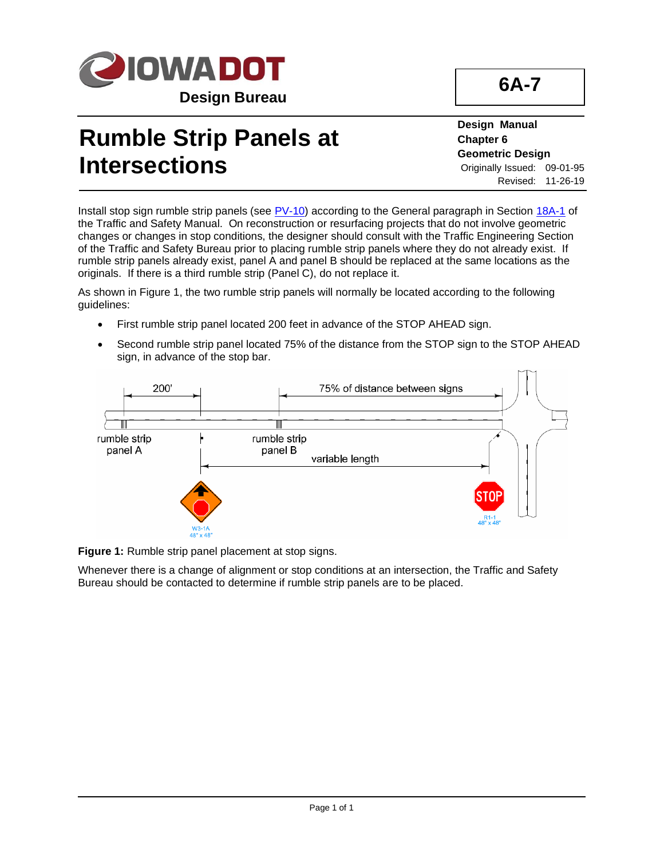

## **Rumble Strip Panels at Intersections**

**Design Manual Chapter 6 Geometric Design** Originally Issued: 09-01-95 Revised: 11-26-19

Install stop sign rumble strip panels (see  $PV-10$ ) according to the General paragraph in Section [18A-1](https://iowadot.gov/traffic/manuals/pdf/18a-01.pdf) of the Traffic and Safety Manual. On reconstruction or resurfacing projects that do not involve geometric changes or changes in stop conditions, the designer should consult with the Traffic Engineering Section of the Traffic and Safety Bureau prior to placing rumble strip panels where they do not already exist. If rumble strip panels already exist, panel A and panel B should be replaced at the same locations as the originals. If there is a third rumble strip (Panel C), do not replace it.

As shown in Figure 1, the two rumble strip panels will normally be located according to the following guidelines:

- First rumble strip panel located 200 feet in advance of the STOP AHEAD sign.
- Second rumble strip panel located 75% of the distance from the STOP sign to the STOP AHEAD sign, in advance of the stop bar.



**Figure 1:** Rumble strip panel placement at stop signs.

Whenever there is a change of alignment or stop conditions at an intersection, the Traffic and Safety Bureau should be contacted to determine if rumble strip panels are to be placed.